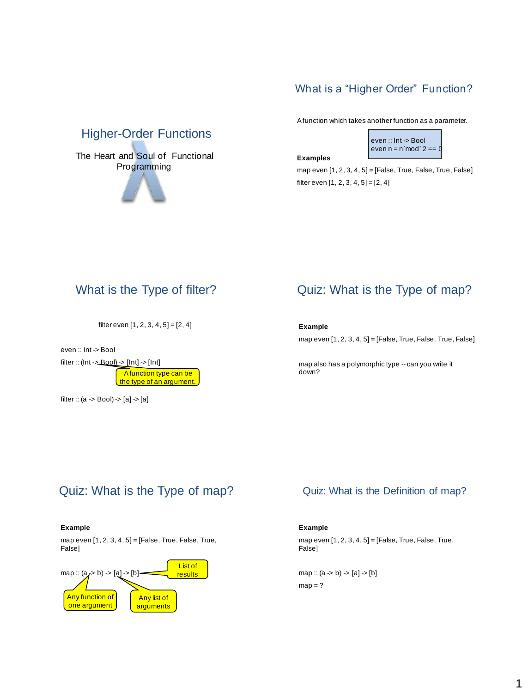# What is a "Higher Order" Function?

A function which takes another function as a parameter.

# **Examples**

even :: Int -> Bool even  $n = n \mod 2 == 0$ 

map even [1, 2, 3, 4, 5] = [False, True, False, True, False] filter even  $[1, 2, 3, 4, 5] = [2, 4]$ 

# What is the Type of filter?

Higher-Order Functions

The Heart and Soul of Functional Programming

filter even  $[1, 2, 3, 4, 5] = [2, 4]$ 

even :: Int -> Bool  $filter:: (Int -~~1~~ ~~1~~ ~~1~~ ~~1~~ ~~2~~ ~~1~~ ~~1~~ ~~2~~ ~~1~~ ~~2~~ ~~1~~ ~~2~~ ~~1~~ ~~2~~ ~~1~~ ~~2~~ ~~1~~ ~~2~~ ~~1~~ ~~2~~ ~~1~~ ~~2~~ ~~1~~ ~~2~~ ~~1~~ ~~2~~ ~~1~~ ~~2~~ ~~1~~ ~~2~~ ~~1~~$ A function type can be the type of an argument.

filter :: (a -> Bool) -> [a] -> [a]

# Quiz: What is the Type of map?

**Example**

map even  $[1, 2, 3, 4, 5]$  = [False, True, False, True, False]

map also has a polymorphic type -- can you write it down?

# Quiz: What is the Type of map?

#### **Example**

map even [1, 2, 3, 4, 5] = [False, True, False, True, False]



### Quiz: What is the Definition of map?

#### **Example**

map even [1, 2, 3, 4, 5] = [False, True, False, True, False]

 $map :: (a - b) - [a] - [b]$  $map = ?$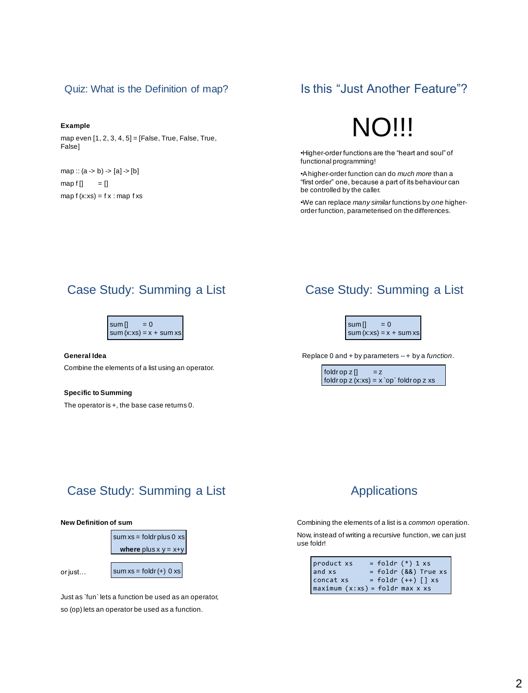#### Quiz: What is the Definition of map?

#### **Example**

map even [1, 2, 3, 4, 5] = [False, True, False, True, False]

map :: (a -> b) -> [a] -> [b] map  $f[] = []$ map  $f(x:xs) = fx : map f xs$ 

# Is this "Just Another Feature"?

# **NO!!!**

•Higher-order functions are the "heart and soul" of functional programming!

•A higher-order function can do *much more* than a "first order" one, because a part of its behaviour can be controlled by the caller.

•We can replace *many similar* functions by *one* higherorder function, parameterised on the differences.

# Case Study: Summing a List

| sum[] | $= 0$                    |
|-------|--------------------------|
|       | $sum(x:xs) = x + sum xs$ |

**General Idea**

Combine the elements of a list using an operator.

**Specific to Summing**

The operator is +, the base case returns 0.

### Case Study: Summing a List



Replace 0 and + by parameters -- + by a *function*.

foldr op  $z$   $\left[ \right]$  = z foldr op  $z(x:xs) = x \rceil$  foldr op  $z$  xs

# Case Study: Summing a List

#### **New Definition of sum**

or just…



Just as `fun` lets a function be used as an operator, so (op) lets an operator be used as a function.

# Applications

Combining the elements of a list is a *common* operation.

Now, instead of writing a recursive function, we can just use foldr!

| product xs | $=$ foldr $(*)$ 1 xs            |
|------------|---------------------------------|
| and xs     | $=$ foldr $(88)$ True xs        |
| concat xs  | $=$ foldr $(++)$ $\lceil$ xs    |
|            | maximum (x:xs) = foldr max x xs |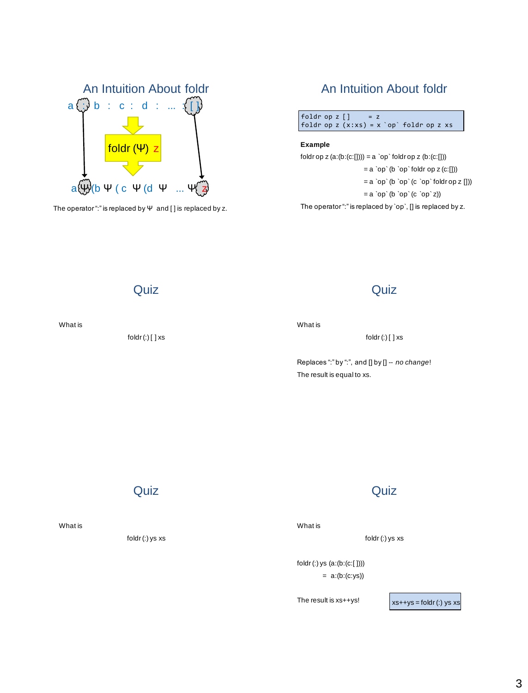

The operator ":" is replaced by  $\Psi$  and [] is replaced by z.

# An Intuition About foldr

#### foldr op  $z$   $[]$  =  $z$ foldr op  $z(x:xs) = x \rightharpoonup op \rightharpoonup f$ oldr op  $z xs$

#### **Example**

foldr op z  $(a:(b:(c:[))) = a \rightharpoonup p \rightharpoonup b$  foldr op z  $(b:(c:[]))$  $= a$  `op` (b `op` foldr op z (c:[]))  $= a \r{op} (b \r{op} (c \r{op} f (b \r{op} f))$  $= a$  `op` (b `op` (c `op` z)) The operator ":" is replaced by 'op', [] is replaced by z.

**Quiz** 

What is

 $foldr(:)$  [ ] xs

### **Quiz**

What is

foldr (:) [ ] xs

Replaces ":" by ":", and [] by [] -- *no change*! The result is equal to xs.

What is

foldr(:) ys xs

**Quiz** 

**Quiz** 

#### What is

foldr (:) ys xs

foldr (:) ys (a:(b:(c:[ ])))  $= a:(b:(c:ys))$ 

The result is  $xs++ys!$   $xs++ys = foldr$  (:) ys  $xs$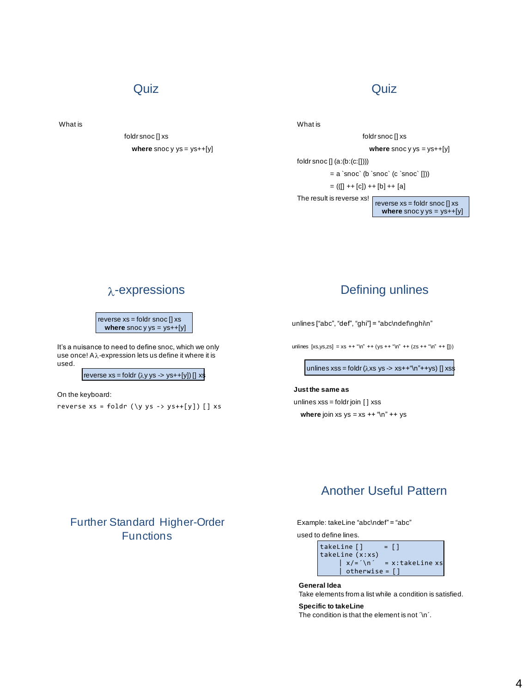# **Quiz**

What is

#### foldr snoc [] xs **where** snoc y ys = ys++[y]

### **Quiz**

What is

foldr snoc [] xs

**where** snoc y ys = ys++[y]

foldr snoc [] (a:(b:(c:[])))

 $= a$  `snoc` (b `snoc` (c `snoc`  $[$ ]))

 $= (([] ++ [c]) ++ [b] ++ [a]$ 

The result is reverse  $xs!$  reverse  $xs =$  foldr snoc [] xs

**where** snoc y ys = ys++[y]

### $\lambda$ -expressions

 $reverse xs = foldr snoc [] xs$ **where** snoc y ys = ys++[y]

It's a nuisance to need to define snoc, which we only use once!  $A\lambda$ -expression lets us define it where it is used.

reverse  $xs =$  foldr  $(\lambda y \, ys \rightarrow ys++[y])$  []  $xs$ 

On the keyboard:

reverse  $xs = foldr$  (\y  $ys \rightarrow ys++[y])$  []  $xs$ 

### Defining unlines

unlines ["abc", "def", "ghi"] = "abc\ndef\nghi\n"

unlines  $[xs,ys,zs] = xs + f''\n \times f'' + (ys + f''\n)'' + (zs + f''\n)'' + (z - f''\n)'' + f])$ 

unlines xss = foldr ( $\lambda$ xs ys -> xs++"\n"++ys) [] xss

**Just the same as** unlines xss = foldr join [ ] xss **where** join xs  $ys = xs + f^n \n\pi + ys$ 

### Another Useful Pattern

Example: takeLine "abc\ndef" = "abc"

used to define lines.

```
\n
$$
\text{takeLine}[] = []\n\text{takeLine}(x:xs)\n  | x/=`\n' = x:takeLine xs\n  | otherwise = []\n
$$

```

**General Idea**

Take elements from a list while a condition is satisfied.

#### **Specific to takeLine**

The condition is that the element is not  $\ln'$ .

### Further Standard Higher-Order **Functions**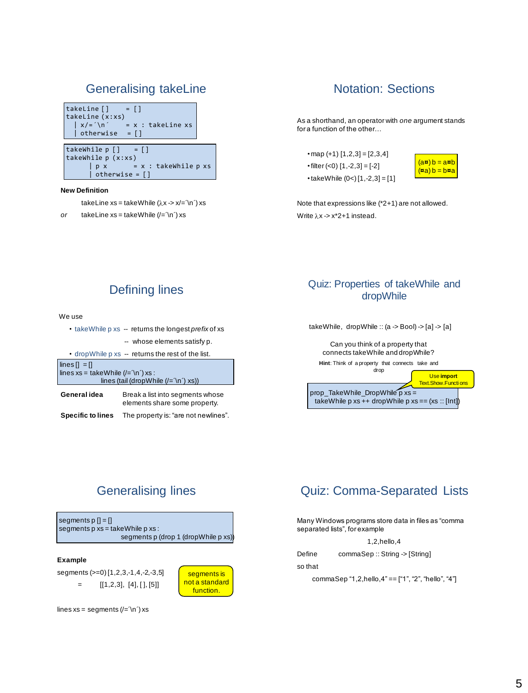# Generalising takeLine

| takeLine []<br>$- = 11$<br>takeLine (x:xs)<br>$\vert x/\vert = \vert x \vert^2$ = x : takeLine xs<br>$\vert$ otherwise = $\vert$ ] |  |
|------------------------------------------------------------------------------------------------------------------------------------|--|
| takeWhile $p$ [] = []<br>takeWhile p (x:xs)<br>$p \times = x : takeWhile p \times s$<br>  otherwise = []                           |  |

#### **New Definition**

takeLine xs = takeWhile  $(\lambda x \rightarrow x/\equiv \ln \ln x)$ 

*or* takeLine xs = takeWhile  $(/-\n$ <sup>2</sup>) xs

# Notation: Sections

As a shorthand, an operator with *one* argument stands for a function of the other…

• map  $(+1)$   $[1,2,3] = [2,3,4]$  $\cdot$  filter (<0) [1, -2,3] = [-2] •takeWhile  $(0<)$  [1,-2,3] = [1]



Note that expressions like (\*2+1) are not allowed. Write  $\lambda x \rightarrow x^*2+1$  instead.

# Defining lines

We use

• takeWhile p xs -- returns the longest *prefix* of xs

-- whose elements satisfy p. • dropWhile p xs -- returns the rest of the list.

| $\vert$ lines $\vert \vert = \vert \vert$  |                                  |  |  |  |
|--------------------------------------------|----------------------------------|--|--|--|
| lines xs = takeWhile $($ /= $\ln$ $)$ xs : |                                  |  |  |  |
| lines (tail (dropWhile $(2-\n\pi)$ xs))    |                                  |  |  |  |
| General idea                               | Break a list into seaments whose |  |  |  |

elements share some property.

**Specific to lines** The property is: "are not newlines".

### Quiz: Properties of takeWhile and dropWhile

takeWhile, dropWhile :: (a -> Bool) -> [a] -> [a]

Can you think of a property that connects takeWhile and dropWhile?



takeWhile  $p$  xs ++ dropWhile  $p$  xs == (xs :: [Int]

# Generalising lines

segments  $p$  [] = [] segments p xs = takeWhile p xs : segments p (drop 1 (dropWhile p xs)

#### **Example**

segments (>=0) [1,2,3,-1,4,-2,-3,5]

 $=$  [[1,2,3], [4], [], [5]]



# Quiz: Comma-Separated Lists

Many Windows programs store data in files as "comma separated lists", for example

1,2,hello,4

Define commaSep :: String -> [String]

so that

commaSep "1,2,hello,4" ==  $[$ "1", "2", "hello", "4"]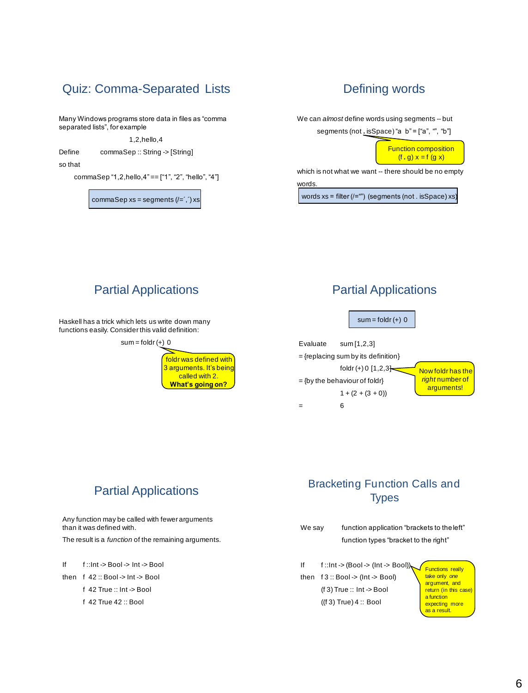# Quiz: Comma-Separated Lists

Many Windows programs store data in files as "comma separated lists", for example

1,2,hello,4

Define commaSep :: String -> [String]

so that

commaSep "1,2,hello,4" == ["1", "2", "hello", "4"]

commaSep  $xs = segments ( =',') xs$ 

# Defining words

We can *almost* define words using segments -- but

segments (not . isSpace) "a b" = ["a", "", "b"]

Function composition  $(f \cdot g) x = f(g x)$ 

which is not what we want -- there should be no empty words.

words  $xs = filter(I = \cdots)$  (segments (not . isSpace) xs)

# Partial Applications

Haskell has a trick which lets us write down many functions easily. Consider this valid definition:

 $sum = foldr (+) 0$ 



### Partial Applications



Evaluate sum [1,2,3] = {replacing sum by its definition} foldr  $(+)$  0  $[1,2,3]$  $=$  {by the behaviour of foldr}  $1 + (2 + (3 + 0))$ = 6 Now foldr has the *right* number of arguments!

# Partial Applications

Any function may be called with fewer arguments than it was defined with.

The result is a *function* of the remaining arguments.

If f ::Int -> Bool -> Int -> Bool

then f 42: Bool -> Int -> Bool

f 42 True :: Int -> Bool

f 42 True 42 :: Bool

# Bracketing Function Calls and **Types**

- We say function application "brackets to the left" function types "bracket to the right"
- If  $f$ ::Int -> (Bool -> (Int -> Bool)) then  $f 3$ : Bool -> (Int -> Bool) (f 3) True :: Int -> Bool ((f 3) True) 4 :: Bool

Functions really take only *one* argument, and return (in this case) a function expecting more as a result.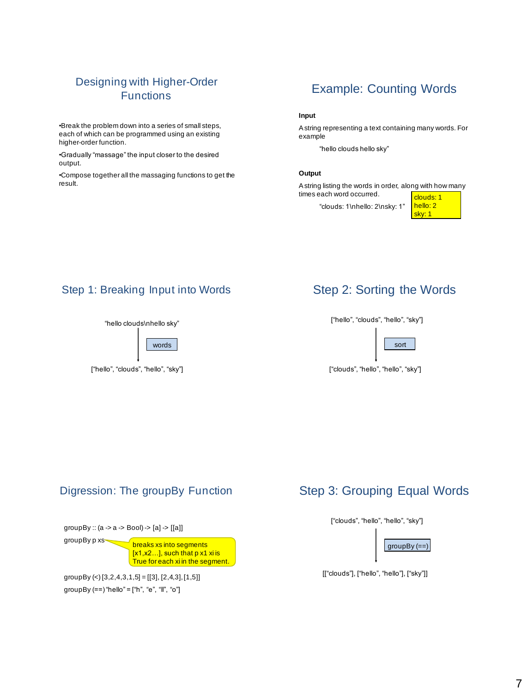# Designing with Higher-Order **Functions**

•Break the problem down into a series of small steps, each of which can be programmed using an existing higher-order function.

•Gradually "massage" the input closer to the desired output.

•Compose together all the massaging functions to get the result.

# Example: Counting Words

#### **Input**

A string representing a text containing many words. For example

"hello clouds hello sky"

#### **Output**

A string listing the words in order, along with how many times each word occurred.

"clouds: 1\nhello: 2\nsky: 1"

| clouds: 1   |  |
|-------------|--|
| $h$ ello: 2 |  |
| sky: 1      |  |

### Step 1: Breaking Input into Words

#### "hello clouds\nhello sky"



["hello", "clouds", "hello", "sky"]

# Step 2: Sorting the Words

["hello", "clouds", "hello", "sky"]



["clouds", "hello", "hello", "sky"]

### Digression: The groupBy Function



groupBy p xs breaks xs into segments  $[x1, x2...]$ , such that p x1 xi is True for each xi in the segment.

groupBy  $($  <  $)$  [3, 2, 4, 3, 1, 5] = [[3], [2, 4, 3], [1, 5]] groupBy  $(==)$  "hello" = ["h", "e", "ll", "o"]

# Step 3: Grouping Equal Words

["clouds", "hello", "hello", "sky"]

groupBy (==)

[["clouds"], ["hello", "hello"], ["sky"]]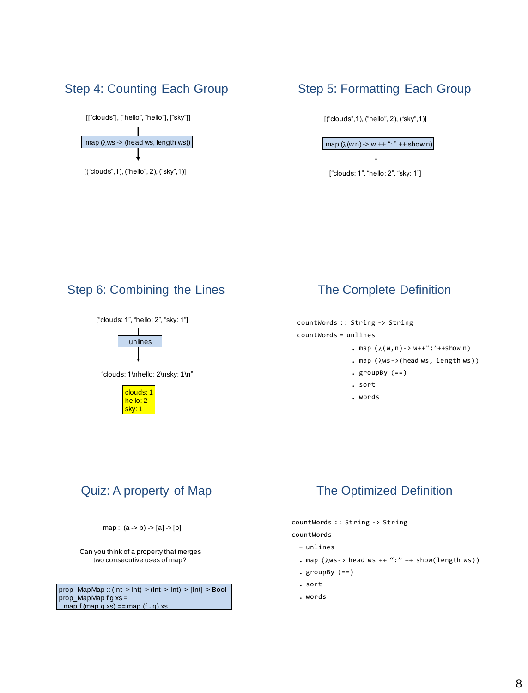# Step 4: Counting Each Group

[["clouds"], ["hello", "hello"], ["sky"]]



[("clouds",1), ("hello", 2), ("sky",1)]

# Step 5: Formatting Each Group

map  $(\lambda(w,n) > w++$  ": " ++ show n) [("clouds",1), ("hello", 2), ("sky",1)]

["clouds: 1", "hello: 2", "sky: 1"]

# Step 6: Combining the Lines

["clouds: 1", "hello: 2", "sky: 1"]



"clouds: 1\nhello: 2\nsky: 1\n"



# The Complete Definition

countWords :: String -> String countWords = unlines

- **.** map  $(\lambda(w, n) \lambda w + \lambda w : u + \lambda w + \lambda w)$
- $.$  map  $(\lambda$ ws->(head ws, length ws))
- **.** groupBy (==)
- **.** sort
- **.** words

# Quiz: A property of Map

map ::  $(a \rightarrow b) \rightarrow [a] \rightarrow [b]$ 

Can you think of a property that merges two consecutive uses of map?

prop\_MapMap :: (Int -> Int) -> (Int -> Int) -> [Int] -> Bool  $prop_MapMap$  f g xs = map  $f$  (map  $g$  xs) == map  $(f \cdot g)$  xs

# The Optimized Definition

countWords :: String -> String countWords

- = unlines
- $.$  map ( $\lambda$ ws-> head ws ++ ":" ++ show(length ws))
- **.** groupBy (==)
- **.** sort
- **.** words